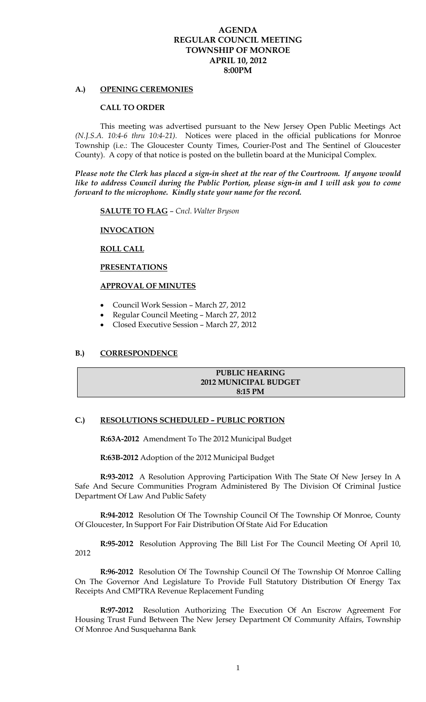# **AGENDA REGULAR COUNCIL MEETING TOWNSHIP OF MONROE APRIL 10, 2012 8:00PM**

## **A.) OPENING CEREMONIES**

#### **CALL TO ORDER**

This meeting was advertised pursuant to the New Jersey Open Public Meetings Act *(N.J.S.A. 10:4-6 thru 10:4-21).* Notices were placed in the official publications for Monroe Township (i.e.: The Gloucester County Times, Courier-Post and The Sentinel of Gloucester County). A copy of that notice is posted on the bulletin board at the Municipal Complex.

*Please note the Clerk has placed a sign-in sheet at the rear of the Courtroom. If anyone would like to address Council during the Public Portion, please sign-in and I will ask you to come forward to the microphone. Kindly state your name for the record.* 

**SALUTE TO FLAG** – *Cncl. Walter Bryson*

### **INVOCATION**

#### **ROLL CALL**

#### **PRESENTATIONS**

#### **APPROVAL OF MINUTES**

- Council Work Session March 27, 2012
- Regular Council Meeting March 27, 2012
- Closed Executive Session March 27, 2012

# **B.) CORRESPONDENCE**

## **PUBLIC HEARING 2012 MUNICIPAL BUDGET 8:15 PM**

#### **C.) RESOLUTIONS SCHEDULED – PUBLIC PORTION**

**R:63A-2012** Amendment To The 2012 Municipal Budget

**R:63B-2012** Adoption of the 2012 Municipal Budget

**R:93-2012** A Resolution Approving Participation With The State Of New Jersey In A Safe And Secure Communities Program Administered By The Division Of Criminal Justice Department Of Law And Public Safety

**R:94-2012** Resolution Of The Township Council Of The Township Of Monroe, County Of Gloucester, In Support For Fair Distribution Of State Aid For Education

**R:95-2012** Resolution Approving The Bill List For The Council Meeting Of April 10, 2012

**R:96-2012** Resolution Of The Township Council Of The Township Of Monroe Calling On The Governor And Legislature To Provide Full Statutory Distribution Of Energy Tax Receipts And CMPTRA Revenue Replacement Funding

**R:97-2012** Resolution Authorizing The Execution Of An Escrow Agreement For Housing Trust Fund Between The New Jersey Department Of Community Affairs, Township Of Monroe And Susquehanna Bank